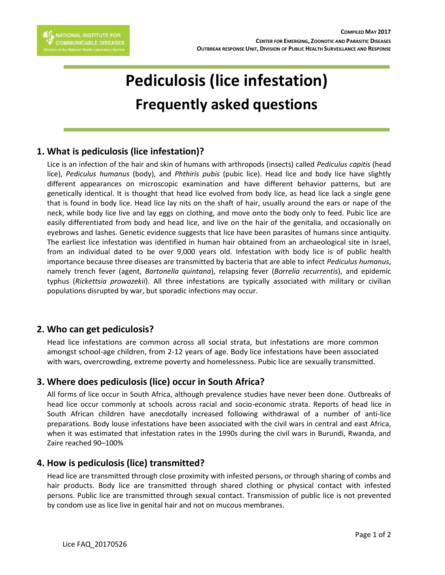

# **Pediculosis (lice infestation) Frequently asked questions**

## **1. What is pediculosis (lice infestation)?**

Lice is an infection of the hair and skin of humans with arthropods (insects) called *Pediculus capitis* (head lice), *Pediculus humanus* (body), and *Phthiris pubis* (pubic lice). Head lice and body lice have slightly different appearances on microscopic examination and have different behavior patterns, but are genetically identical. It is thought that head lice evolved from body lice, as head lice lack a single gene that is found in body lice. Head lice lay nits on the shaft of hair, usually around the ears or nape of the neck, while body lice live and lay eggs on clothing, and move onto the body only to feed. Pubic lice are easily differentiated from body and head lice, and live on the hair of the genitalia, and occasionally on eyebrows and lashes. Genetic evidence suggests that lice have been parasites of humans since antiquity. The earliest lice infestation was identified in human hair obtained from an archaeological site in Israel, from an individual dated to be over 9,000 years old. Infestation with body lice is of public health importance because three diseases are transmitted by bacteria that are able to infect *Pediculus humanus*, namely trench fever (agent, *Bartonella quintana*), relapsing fever (*Borrelia recurrentis*), and epidemic typhus (*Rickettsia prowazekii*). All three infestations are typically associated with military or civilian populations disrupted by war, but sporadic infections may occur.

### **2. Who can get pediculosis?**

Head lice infestations are common across all social strata, but infestations are more common amongst school-age children, from 2-12 years of age. Body lice infestations have been associated with wars, overcrowding, extreme poverty and homelessness. Pubic lice are sexually transmitted.

## **3. Where does pediculosis (lice) occur in South Africa?**

All forms of lice occur in South Africa, although prevalence studies have never been done. Outbreaks of head lice occur commonly at schools across racial and socio-economic strata. Reports of head lice in South African children have anecdotally increased following withdrawal of a number of anti-lice preparations. Body louse infestations have been associated with the civil wars in central and east Africa, when it was estimated that infestation rates in the 1990s during the civil wars in Burundi, Rwanda, and Zaire reached 90–100%

## **4. How is pediculosis (lice) transmitted?**

Head lice are transmitted through close proximity with infested persons, or through sharing of combs and hair products. Body lice are transmitted through shared clothing or physical contact with infested persons. Public lice are transmitted through sexual contact. Transmission of public lice is not prevented by condom use as lice live in genital hair and not on mucous membranes.